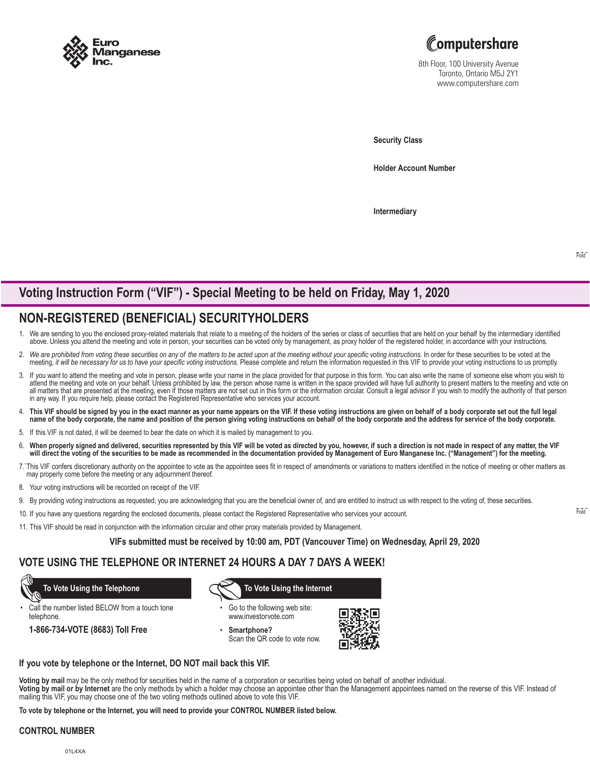



8th Floor, 100 University Avenue Toronto, Ontario M5J 2Y1 www.computershare.com

**Security Class**

**Holder Account Number** 

**Intermediary**

Fold

# **Voting Instruction Form ("VIF") - Special Meeting to be held on Friday, May 1, 2020**

# **NON-REGISTERED (BENEFICIAL) SECURITYHOLDERS**

- 1. We are sending to you the enclosed proxy-related materials that relate to a meeting of the holders of the series or class of securities that are held on your behalf by the intermediary identified above. Unless you attend the meeting and vote in person, your securities can be voted only by management, as proxy holder of the registered holder, in accordance with your instructions.
- 2. We are prohibited from voting these securities on any of the matters to be acted upon at the meeting without your specific voting instructions. In order for these securities to be voted at the meeting, *it will be necessary for us to have your specific voting instructions.* Please complete and return the information requested in this VIF to provide your voting instructions to us promptly.
- 3. If you want to attend the meeting and vote in person, please write your name in the place provided for that purpose in this form. You can also write the name of someone else whom you wish to attend the meeting and vote on your behalf. Unless prohibited by law, the person whose name is written in the space provided will have full authority to present matters to the meeting and vote on all matters that are presented at the meeting, even if those matters are not set out in this form or the information circular. Consult a legal advisor if you wish to modify the authority of that person in any way. If you require help, please contact the Registered Representative who services your account.
- 4. This VIF should be signed by you in the exact manner as your name appears on the VIF. If these voting instructions are given on behalf of a body corporate set out the full legal<br>. name of the body corporate, the name an
- 5. If this VIF is not dated, it will be deemed to bear the date on which it is mailed by management to you.
- 6. When properly signed and delivered, securities represented by this VIF will be voted as directed by you, however, if such a direction is not made in respect of any matter, the VIF<br>…will direct the voting of the securiti
- 7.`This VIF confers discretionary authority on the appointee to vote as the appointee sees fit in respect of amendments or variations to matters identified in the notice of meeting or other matters as may properly come before the meeting or any adjournment thereof.
- 8. Your voting instructions will be recorded on receipt of the VIF.
- 9. By providing voting instructions as requested, you are acknowledging that you are the beneficial owner of, and are entitled to instruct us with respect to the voting of, these securities.
- 10. If you have any questions regarding the enclosed documents, please contact the Registered Representative who services your account.
- 11. This VIF should be read in conjunction with the information circular and other proxy materials provided by Management.

**VIFs submitted must be received by 10:00 am, PDT (Vancouver Time) on Wednesday, April 29, 2020**

### **VOTE USING THE TELEPHONE OR INTERNET 24 HOURS A DAY 7 DAYS A WEEK!**

Call the number listed BELOW from a touch tone telephone.

**1-866-734-VOTE (8683) Toll Free**

 **To Vote Using the Telephone To Vote Using the Internet**

- Go to the following web site: www.investorvote.com
- **Smartphone?** Scan the QR code to vote now.



#### **If you vote by telephone or the Internet, DO NOT mail back this VIF.**

**Voting by mail** may be the only method for securities held in the name of a corporation or securities being voted on behalf of another individual.

**Voting by mail or by Internet** are the only methods by which a holder may choose an appointee other than the Management appointees named on the reverse of this VIF. Instead of mailing this VIF, you may choose one of the two voting methods outlined above to vote this VIF.

**To vote by telephone or the Internet, you will need to provide your CONTROL NUMBER listed below.**

#### **CONTROL NUMBER**